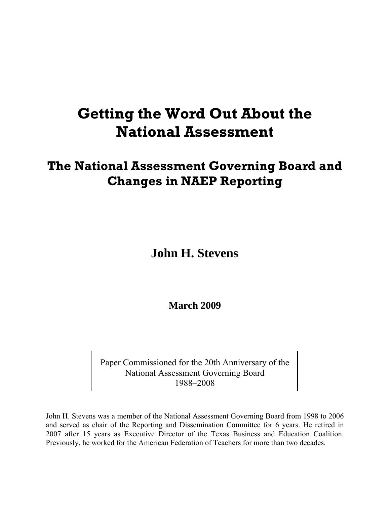# **Getting the Word Out About the National Assessment**

## **The National Assessment Governing Board and Changes in NAEP Reporting**

**John H. Stevens** 

**March 2009** 

Paper Commissioned for the 20th Anniversary of the National Assessment Governing Board 1988–2008

John H. Stevens was a member of the National Assessment Governing Board from 1998 to 2006 and served as chair of the Reporting and Dissemination Committee for 6 years. He retired in 2007 after 15 years as Executive Director of the Texas Business and Education Coalition. Previously, he worked for the American Federation of Teachers for more than two decades.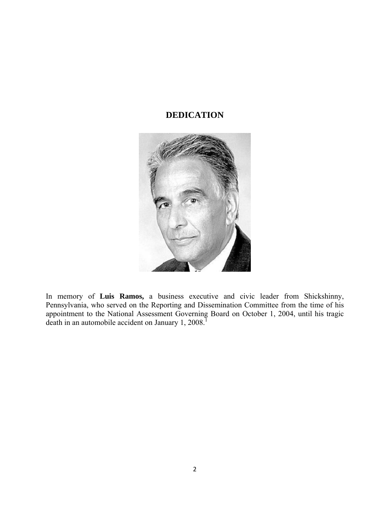## **DEDICATION**



In memory of **Luis Ramos,** a business executive and civic leader from Shickshinny, Pennsylvania, who served on the Reporting and Dissemination Committee from the time of his appointment to the National Assessment Governing Board on October 1, 2004, until his tragic death in an automobile accident on January 1, 2008.<sup>1</sup>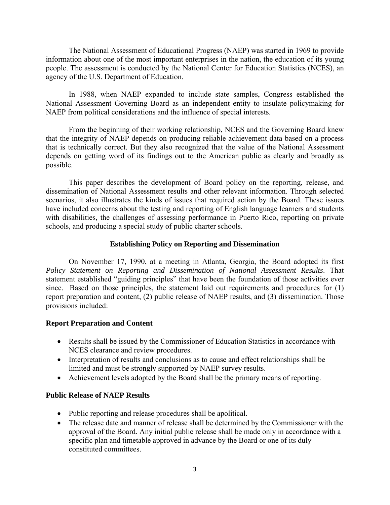The National Assessment of Educational Progress (NAEP) was started in 1969 to provide information about one of the most important enterprises in the nation, the education of its young people. The assessment is conducted by the National Center for Education Statistics (NCES), an agency of the U.S. Department of Education.

In 1988, when NAEP expanded to include state samples, Congress established the National Assessment Governing Board as an independent entity to insulate policymaking for NAEP from political considerations and the influence of special interests.

From the beginning of their working relationship, NCES and the Governing Board knew that the integrity of NAEP depends on producing reliable achievement data based on a process that is technically correct. But they also recognized that the value of the National Assessment depends on getting word of its findings out to the American public as clearly and broadly as possible.

This paper describes the development of Board policy on the reporting, release, and dissemination of National Assessment results and other relevant information. Through selected scenarios, it also illustrates the kinds of issues that required action by the Board. These issues have included concerns about the testing and reporting of English language learners and students with disabilities, the challenges of assessing performance in Puerto Rico, reporting on private schools, and producing a special study of public charter schools.

## **Establishing Policy on Reporting and Dissemination**

On November 17, 1990, at a meeting in Atlanta, Georgia, the Board adopted its first *Policy Statement on Reporting and Dissemination of National Assessment Results*. That statement established "guiding principles" that have been the foundation of those activities ever since. Based on those principles, the statement laid out requirements and procedures for (1) report preparation and content, (2) public release of NAEP results, and (3) dissemination. Those provisions included:

## **Report Preparation and Content**

- Results shall be issued by the Commissioner of Education Statistics in accordance with NCES clearance and review procedures.
- Interpretation of results and conclusions as to cause and effect relationships shall be limited and must be strongly supported by NAEP survey results.
- Achievement levels adopted by the Board shall be the primary means of reporting.

## **Public Release of NAEP Results**

- Public reporting and release procedures shall be apolitical.
- The release date and manner of release shall be determined by the Commissioner with the approval of the Board. Any initial public release shall be made only in accordance with a specific plan and timetable approved in advance by the Board or one of its duly constituted committees.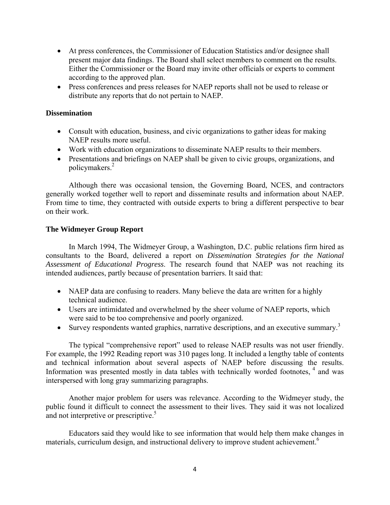- At press conferences, the Commissioner of Education Statistics and/or designee shall present major data findings. The Board shall select members to comment on the results. Either the Commissioner or the Board may invite other officials or experts to comment according to the approved plan.
- Press conferences and press releases for NAEP reports shall not be used to release or distribute any reports that do not pertain to NAEP.

## **Dissemination**

- Consult with education, business, and civic organizations to gather ideas for making NAEP results more useful.
- Work with education organizations to disseminate NAEP results to their members.
- Presentations and briefings on NAEP shall be given to civic groups, organizations, and policymakers.<sup>2</sup>

Although there was occasional tension, the Governing Board, NCES, and contractors generally worked together well to report and disseminate results and information about NAEP. From time to time, they contracted with outside experts to bring a different perspective to bear on their work.

## **The Widmeyer Group Report**

In March 1994, The Widmeyer Group, a Washington, D.C. public relations firm hired as consultants to the Board, delivered a report on *Dissemination Strategies for the National Assessment of Educational Progress*. The research found that NAEP was not reaching its intended audiences, partly because of presentation barriers. It said that:

- NAEP data are confusing to readers. Many believe the data are written for a highly technical audience.
- Users are intimidated and overwhelmed by the sheer volume of NAEP reports, which were said to be too comprehensive and poorly organized.
- Survey respondents wanted graphics, narrative descriptions, and an executive summary.<sup>3</sup>

The typical "comprehensive report" used to release NAEP results was not user friendly. For example, the 1992 Reading report was 310 pages long. It included a lengthy table of contents and technical information about several aspects of NAEP before discussing the results. Information was presented mostly in data tables with technically worded footnotes,  $4$  and was interspersed with long gray summarizing paragraphs.

Another major problem for users was relevance. According to the Widmeyer study, the public found it difficult to connect the assessment to their lives. They said it was not localized and not interpretive or prescriptive.<sup>5</sup>

Educators said they would like to see information that would help them make changes in materials, curriculum design, and instructional delivery to improve student achievement.<sup>6</sup>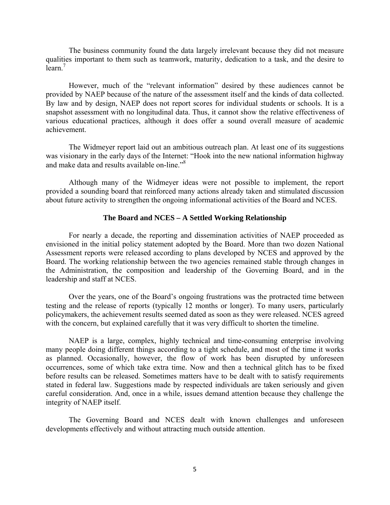The business community found the data largely irrelevant because they did not measure qualities important to them such as teamwork, maturity, dedication to a task, and the desire to learn.<sup>7</sup>

However, much of the "relevant information" desired by these audiences cannot be provided by NAEP because of the nature of the assessment itself and the kinds of data collected. By law and by design, NAEP does not report scores for individual students or schools. It is a snapshot assessment with no longitudinal data. Thus, it cannot show the relative effectiveness of various educational practices, although it does offer a sound overall measure of academic achievement.

The Widmeyer report laid out an ambitious outreach plan. At least one of its suggestions was visionary in the early days of the Internet: "Hook into the new national information highway and make data and results available on-line."<sup>8</sup>

Although many of the Widmeyer ideas were not possible to implement, the report provided a sounding board that reinforced many actions already taken and stimulated discussion about future activity to strengthen the ongoing informational activities of the Board and NCES.

#### **The Board and NCES – A Settled Working Relationship**

For nearly a decade, the reporting and dissemination activities of NAEP proceeded as envisioned in the initial policy statement adopted by the Board. More than two dozen National Assessment reports were released according to plans developed by NCES and approved by the Board. The working relationship between the two agencies remained stable through changes in the Administration, the composition and leadership of the Governing Board, and in the leadership and staff at NCES.

Over the years, one of the Board's ongoing frustrations was the protracted time between testing and the release of reports (typically 12 months or longer). To many users, particularly policymakers, the achievement results seemed dated as soon as they were released. NCES agreed with the concern, but explained carefully that it was very difficult to shorten the timeline.

NAEP is a large, complex, highly technical and time-consuming enterprise involving many people doing different things according to a tight schedule, and most of the time it works as planned. Occasionally, however, the flow of work has been disrupted by unforeseen occurrences, some of which take extra time. Now and then a technical glitch has to be fixed before results can be released. Sometimes matters have to be dealt with to satisfy requirements stated in federal law. Suggestions made by respected individuals are taken seriously and given careful consideration. And, once in a while, issues demand attention because they challenge the integrity of NAEP itself.

The Governing Board and NCES dealt with known challenges and unforeseen developments effectively and without attracting much outside attention.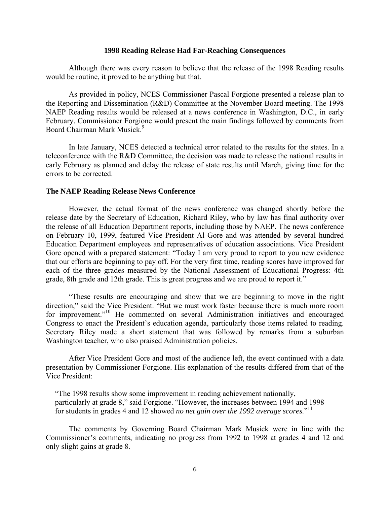#### **1998 Reading Release Had Far-Reaching Consequences**

Although there was every reason to believe that the release of the 1998 Reading results would be routine, it proved to be anything but that.

As provided in policy, NCES Commissioner Pascal Forgione presented a release plan to the Reporting and Dissemination (R&D) Committee at the November Board meeting. The 1998 NAEP Reading results would be released at a news conference in Washington, D.C., in early February. Commissioner Forgione would present the main findings followed by comments from Board Chairman Mark Musick.<sup>9</sup>

In late January, NCES detected a technical error related to the results for the states. In a teleconference with the R&D Committee, the decision was made to release the national results in early February as planned and delay the release of state results until March, giving time for the errors to be corrected.

#### **The NAEP Reading Release News Conference**

However, the actual format of the news conference was changed shortly before the release date by the Secretary of Education, Richard Riley, who by law has final authority over the release of all Education Department reports, including those by NAEP. The news conference on February 10, 1999, featured Vice President Al Gore and was attended by several hundred Education Department employees and representatives of education associations. Vice President Gore opened with a prepared statement: "Today I am very proud to report to you new evidence that our efforts are beginning to pay off. For the very first time, reading scores have improved for each of the three grades measured by the National Assessment of Educational Progress: 4th grade, 8th grade and 12th grade. This is great progress and we are proud to report it."

"These results are encouraging and show that we are beginning to move in the right direction," said the Vice President. "But we must work faster because there is much more room for improvement."10 He commented on several Administration initiatives and encouraged Congress to enact the President's education agenda, particularly those items related to reading. Secretary Riley made a short statement that was followed by remarks from a suburban Washington teacher, who also praised Administration policies.

After Vice President Gore and most of the audience left, the event continued with a data presentation by Commissioner Forgione. His explanation of the results differed from that of the Vice President:

"The 1998 results show some improvement in reading achievement nationally, particularly at grade 8," said Forgione. "However, the increases between 1994 and 1998 for students in grades 4 and 12 showed *no net gain over the 1992 average scores*."<sup>11</sup>

The comments by Governing Board Chairman Mark Musick were in line with the Commissioner's comments, indicating no progress from 1992 to 1998 at grades 4 and 12 and only slight gains at grade 8.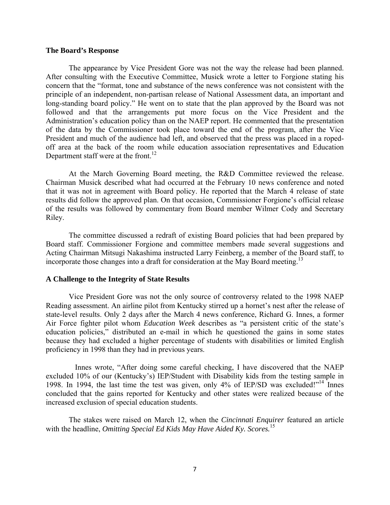#### **The Board's Response**

The appearance by Vice President Gore was not the way the release had been planned. After consulting with the Executive Committee, Musick wrote a letter to Forgione stating his concern that the "format, tone and substance of the news conference was not consistent with the principle of an independent, non-partisan release of National Assessment data, an important and long-standing board policy." He went on to state that the plan approved by the Board was not followed and that the arrangements put more focus on the Vice President and the Administration's education policy than on the NAEP report. He commented that the presentation of the data by the Commissioner took place toward the end of the program, after the Vice President and much of the audience had left, and observed that the press was placed in a ropedoff area at the back of the room while education association representatives and Education Department staff were at the front.<sup>12</sup>

At the March Governing Board meeting, the R&D Committee reviewed the release. Chairman Musick described what had occurred at the February 10 news conference and noted that it was not in agreement with Board policy. He reported that the March 4 release of state results did follow the approved plan. On that occasion, Commissioner Forgione's official release of the results was followed by commentary from Board member Wilmer Cody and Secretary Riley.

The committee discussed a redraft of existing Board policies that had been prepared by Board staff. Commissioner Forgione and committee members made several suggestions and Acting Chairman Mitsugi Nakashima instructed Larry Feinberg, a member of the Board staff, to incorporate those changes into a draft for consideration at the May Board meeting.<sup>13</sup>

#### **A Challenge to the Integrity of State Results**

Vice President Gore was not the only source of controversy related to the 1998 NAEP Reading assessment. An airline pilot from Kentucky stirred up a hornet's nest after the release of state-level results. Only 2 days after the March 4 news conference, Richard G. Innes, a former Air Force fighter pilot whom *Education Week* describes as "a persistent critic of the state's education policies," distributed an e-mail in which he questioned the gains in some states because they had excluded a higher percentage of students with disabilities or limited English proficiency in 1998 than they had in previous years.

 Innes wrote, "After doing some careful checking, I have discovered that the NAEP excluded 10% of our (Kentucky's) IEP/Student with Disability kids from the testing sample in 1998. In 1994, the last time the test was given, only 4% of IEP/SD was excluded!"14 Innes concluded that the gains reported for Kentucky and other states were realized because of the increased exclusion of special education students.

The stakes were raised on March 12, when the *Cincinnati Enquirer* featured an article with the headline, *Omitting Special Ed Kids May Have Aided Ky. Scores.*<sup>15</sup>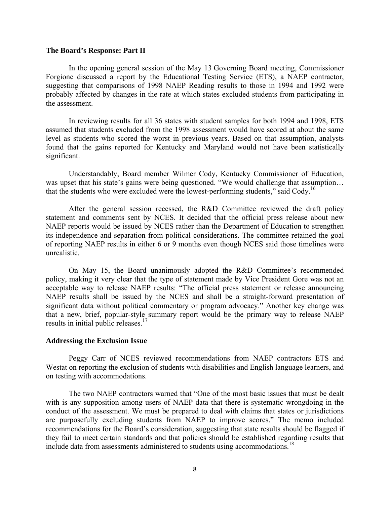#### **The Board's Response: Part II**

In the opening general session of the May 13 Governing Board meeting, Commissioner Forgione discussed a report by the Educational Testing Service (ETS), a NAEP contractor, suggesting that comparisons of 1998 NAEP Reading results to those in 1994 and 1992 were probably affected by changes in the rate at which states excluded students from participating in the assessment.

In reviewing results for all 36 states with student samples for both 1994 and 1998, ETS assumed that students excluded from the 1998 assessment would have scored at about the same level as students who scored the worst in previous years. Based on that assumption, analysts found that the gains reported for Kentucky and Maryland would not have been statistically significant.

Understandably, Board member Wilmer Cody, Kentucky Commissioner of Education, was upset that his state's gains were being questioned. "We would challenge that assumption... that the students who were excluded were the lowest-performing students," said Cody.<sup>16</sup>

After the general session recessed, the R&D Committee reviewed the draft policy statement and comments sent by NCES. It decided that the official press release about new NAEP reports would be issued by NCES rather than the Department of Education to strengthen its independence and separation from political considerations. The committee retained the goal of reporting NAEP results in either 6 or 9 months even though NCES said those timelines were unrealistic.

On May 15, the Board unanimously adopted the R&D Committee's recommended policy, making it very clear that the type of statement made by Vice President Gore was not an acceptable way to release NAEP results: "The official press statement or release announcing NAEP results shall be issued by the NCES and shall be a straight-forward presentation of significant data without political commentary or program advocacy." Another key change was that a new, brief, popular-style summary report would be the primary way to release NAEP results in initial public releases.<sup>17</sup>

#### **Addressing the Exclusion Issue**

Peggy Carr of NCES reviewed recommendations from NAEP contractors ETS and Westat on reporting the exclusion of students with disabilities and English language learners, and on testing with accommodations.

The two NAEP contractors warned that "One of the most basic issues that must be dealt with is any supposition among users of NAEP data that there is systematic wrongdoing in the conduct of the assessment. We must be prepared to deal with claims that states or jurisdictions are purposefully excluding students from NAEP to improve scores." The memo included recommendations for the Board's consideration, suggesting that state results should be flagged if they fail to meet certain standards and that policies should be established regarding results that include data from assessments administered to students using accommodations.<sup>18</sup>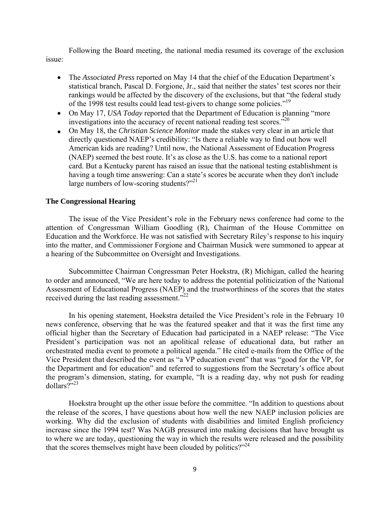Following the Board meeting, the national media resumed its coverage of the exclusion issue:

- The *Associated Press* reported on May 14 that the chief of the Education Department's statistical branch, Pascal D. Forgione, Jr., said that neither the states' test scores nor their rankings would be affected by the discovery of the exclusions, but that "the federal study of the 1998 test results could lead test-givers to change some policies.<sup>"19</sup>
- On May 17, *USA Today* reported that the Department of Education is planning "more" investigations into the accuracy of recent national reading test scores.<sup>320</sup>
- On May 18, the *Christian Science Monitor* made the stakes very clear in an article that directly questioned NAEP's credibility: "Is there a reliable way to find out how well American kids are reading? Until now, the National Assessment of Education Progress (NAEP) seemed the best route. It's as close as the U.S. has come to a national report card. But a Kentucky parent has raised an issue that the national testing establishment is having a tough time answering: Can a state's scores be accurate when they don't include large numbers of low-scoring students?"<sup>21</sup>

## **The Congressional Hearing**

The issue of the Vice President's role in the February news conference had come to the attention of Congressman William Goodling (R), Chairman of the House Committee on Education and the Workforce. He was not satisfied with Secretary Riley's response to his inquiry into the matter, and Commissioner Forgione and Chairman Musick were summoned to appear at a hearing of the Subcommittee on Oversight and Investigations.

Subcommittee Chairman Congressman Peter Hoekstra, (R) Michigan, called the hearing to order and announced, "We are here today to address the potential politicization of the National Assessment of Educational Progress (NAEP) and the trustworthiness of the scores that the states received during the last reading assessment."<sup>22</sup>

In his opening statement, Hoekstra detailed the Vice President's role in the February 10 news conference, observing that he was the featured speaker and that it was the first time any official higher than the Secretary of Education had participated in a NAEP release: "The Vice President's participation was not an apolitical release of educational data, but rather an orchestrated media event to promote a political agenda." He cited e-mails from the Office of the Vice President that described the event as "a VP education event" that was "good for the VP, for the Department and for education" and referred to suggestions from the Secretary's office about the program's dimension, stating, for example, "It is a reading day, why not push for reading  $d$ ollars?"<sup>23</sup>

Hoekstra brought up the other issue before the committee. "In addition to questions about the release of the scores, I have questions about how well the new NAEP inclusion policies are working. Why did the exclusion of students with disabilities and limited English proficiency increase since the 1994 test? Was NAGB pressured into making decisions that have brought us to where we are today, questioning the way in which the results were released and the possibility that the scores themselves might have been clouded by politics? $2^{24}$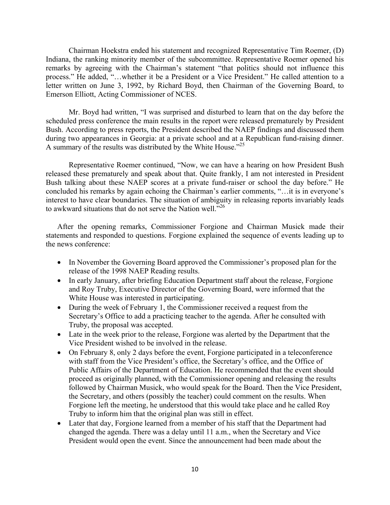Chairman Hoekstra ended his statement and recognized Representative Tim Roemer, (D) Indiana, the ranking minority member of the subcommittee. Representative Roemer opened his remarks by agreeing with the Chairman's statement "that politics should not influence this process." He added, "…whether it be a President or a Vice President." He called attention to a letter written on June 3, 1992, by Richard Boyd, then Chairman of the Governing Board, to Emerson Elliott, Acting Commissioner of NCES.

Mr. Boyd had written, "I was surprised and disturbed to learn that on the day before the scheduled press conference the main results in the report were released prematurely by President Bush. According to press reports, the President described the NAEP findings and discussed them during two appearances in Georgia: at a private school and at a Republican fund-raising dinner. A summary of the results was distributed by the White House."25

Representative Roemer continued, "Now, we can have a hearing on how President Bush released these prematurely and speak about that. Quite frankly, I am not interested in President Bush talking about these NAEP scores at a private fund-raiser or school the day before." He concluded his remarks by again echoing the Chairman's earlier comments, "…it is in everyone's interest to have clear boundaries. The situation of ambiguity in releasing reports invariably leads to awkward situations that do not serve the Nation well.<sup> $26$ </sup>

After the opening remarks, Commissioner Forgione and Chairman Musick made their statements and responded to questions. Forgione explained the sequence of events leading up to the news conference:

- In November the Governing Board approved the Commissioner's proposed plan for the release of the 1998 NAEP Reading results.
- In early January, after briefing Education Department staff about the release, Forgione and Roy Truby, Executive Director of the Governing Board, were informed that the White House was interested in participating.
- During the week of February 1, the Commissioner received a request from the Secretary's Office to add a practicing teacher to the agenda. After he consulted with Truby, the proposal was accepted.
- Late in the week prior to the release, Forgione was alerted by the Department that the Vice President wished to be involved in the release.
- On February 8, only 2 days before the event, Forgione participated in a teleconference with staff from the Vice President's office, the Secretary's office, and the Office of Public Affairs of the Department of Education. He recommended that the event should proceed as originally planned, with the Commissioner opening and releasing the results followed by Chairman Musick, who would speak for the Board. Then the Vice President, the Secretary, and others (possibly the teacher) could comment on the results. When Forgione left the meeting, he understood that this would take place and he called Roy Truby to inform him that the original plan was still in effect.
- Later that day, Forgione learned from a member of his staff that the Department had changed the agenda. There was a delay until 11 a.m., when the Secretary and Vice President would open the event. Since the announcement had been made about the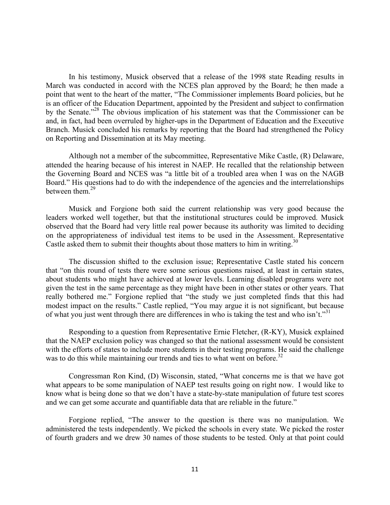In his testimony, Musick observed that a release of the 1998 state Reading results in March was conducted in accord with the NCES plan approved by the Board; he then made a point that went to the heart of the matter, "The Commissioner implements Board policies, but he is an officer of the Education Department, appointed by the President and subject to confirmation by the Senate."28 The obvious implication of his statement was that the Commissioner can be and, in fact, had been overruled by higher-ups in the Department of Education and the Executive Branch. Musick concluded his remarks by reporting that the Board had strengthened the Policy on Reporting and Dissemination at its May meeting.

Although not a member of the subcommittee, Representative Mike Castle, (R) Delaware, attended the hearing because of his interest in NAEP. He recalled that the relationship between the Governing Board and NCES was "a little bit of a troubled area when I was on the NAGB Board." His questions had to do with the independence of the agencies and the interrelationships between them  $29$ 

Musick and Forgione both said the current relationship was very good because the leaders worked well together, but that the institutional structures could be improved. Musick observed that the Board had very little real power because its authority was limited to deciding on the appropriateness of individual test items to be used in the Assessment. Representative Castle asked them to submit their thoughts about those matters to him in writing.<sup>30</sup>

The discussion shifted to the exclusion issue; Representative Castle stated his concern that "on this round of tests there were some serious questions raised, at least in certain states, about students who might have achieved at lower levels. Learning disabled programs were not given the test in the same percentage as they might have been in other states or other years. That really bothered me." Forgione replied that "the study we just completed finds that this had modest impact on the results." Castle replied, "You may argue it is not significant, but because of what you just went through there are differences in who is taking the test and who isn't."<sup>31</sup>

Responding to a question from Representative Ernie Fletcher, (R-KY), Musick explained that the NAEP exclusion policy was changed so that the national assessment would be consistent with the efforts of states to include more students in their testing programs. He said the challenge was to do this while maintaining our trends and ties to what went on before.<sup>32</sup>

Congressman Ron Kind, (D) Wisconsin, stated, "What concerns me is that we have got what appears to be some manipulation of NAEP test results going on right now. I would like to know what is being done so that we don't have a state-by-state manipulation of future test scores and we can get some accurate and quantifiable data that are reliable in the future."

Forgione replied, "The answer to the question is there was no manipulation. We administered the tests independently. We picked the schools in every state. We picked the roster of fourth graders and we drew 30 names of those students to be tested. Only at that point could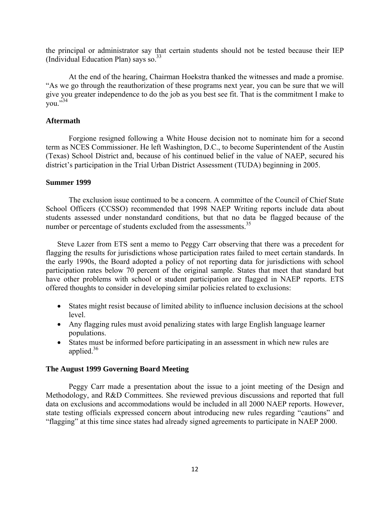the principal or administrator say that certain students should not be tested because their IEP (Individual Education Plan) says so. $33$ 

At the end of the hearing, Chairman Hoekstra thanked the witnesses and made a promise. "As we go through the reauthorization of these programs next year, you can be sure that we will give you greater independence to do the job as you best see fit. That is the commitment I make to  $\overline{v}$ <sub>011</sub>  $\overline{534}$ 

## **Aftermath**

Forgione resigned following a White House decision not to nominate him for a second term as NCES Commissioner. He left Washington, D.C., to become Superintendent of the Austin (Texas) School District and, because of his continued belief in the value of NAEP, secured his district's participation in the Trial Urban District Assessment (TUDA) beginning in 2005.

## **Summer 1999**

The exclusion issue continued to be a concern. A committee of the Council of Chief State School Officers (CCSSO) recommended that 1998 NAEP Writing reports include data about students assessed under nonstandard conditions, but that no data be flagged because of the number or percentage of students excluded from the assessments.<sup>35</sup>

Steve Lazer from ETS sent a memo to Peggy Carr observing that there was a precedent for flagging the results for jurisdictions whose participation rates failed to meet certain standards. In the early 1990s, the Board adopted a policy of not reporting data for jurisdictions with school participation rates below 70 percent of the original sample. States that meet that standard but have other problems with school or student participation are flagged in NAEP reports. ETS offered thoughts to consider in developing similar policies related to exclusions:

- States might resist because of limited ability to influence inclusion decisions at the school level.
- Any flagging rules must avoid penalizing states with large English language learner populations.
- States must be informed before participating in an assessment in which new rules are applied. $36$

## **The August 1999 Governing Board Meeting**

Peggy Carr made a presentation about the issue to a joint meeting of the Design and Methodology, and R&D Committees. She reviewed previous discussions and reported that full data on exclusions and accommodations would be included in all 2000 NAEP reports. However, state testing officials expressed concern about introducing new rules regarding "cautions" and "flagging" at this time since states had already signed agreements to participate in NAEP 2000.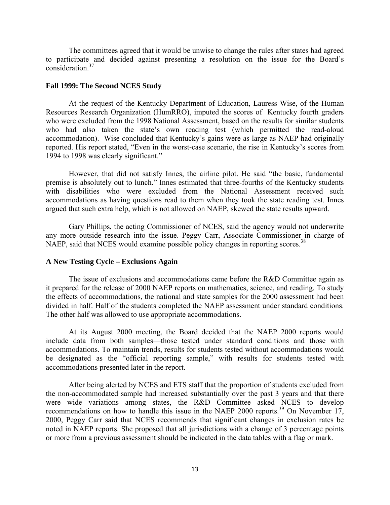The committees agreed that it would be unwise to change the rules after states had agreed to participate and decided against presenting a resolution on the issue for the Board's consideration.37

#### **Fall 1999: The Second NCES Study**

 At the request of the Kentucky Department of Education, Lauress Wise, of the Human Resources Research Organization (HumRRO), imputed the scores of Kentucky fourth graders who were excluded from the 1998 National Assessment, based on the results for similar students who had also taken the state's own reading test (which permitted the read-aloud accommodation). Wise concluded that Kentucky's gains were as large as NAEP had originally reported. His report stated, "Even in the worst-case scenario, the rise in Kentucky's scores from 1994 to 1998 was clearly significant."

 However, that did not satisfy Innes, the airline pilot. He said "the basic, fundamental premise is absolutely out to lunch." Innes estimated that three-fourths of the Kentucky students with disabilities who were excluded from the National Assessment received such accommodations as having questions read to them when they took the state reading test. Innes argued that such extra help, which is not allowed on NAEP, skewed the state results upward.

 Gary Phillips, the acting Commissioner of NCES, said the agency would not underwrite any more outside research into the issue. Peggy Carr, Associate Commissioner in charge of NAEP, said that NCES would examine possible policy changes in reporting scores.<sup>38</sup>

#### **A New Testing Cycle – Exclusions Again**

 The issue of exclusions and accommodations came before the R&D Committee again as it prepared for the release of 2000 NAEP reports on mathematics, science, and reading. To study the effects of accommodations, the national and state samples for the 2000 assessment had been divided in half. Half of the students completed the NAEP assessment under standard conditions. The other half was allowed to use appropriate accommodations.

At its August 2000 meeting, the Board decided that the NAEP 2000 reports would include data from both samples—those tested under standard conditions and those with accommodations. To maintain trends, results for students tested without accommodations would be designated as the "official reporting sample," with results for students tested with accommodations presented later in the report.

After being alerted by NCES and ETS staff that the proportion of students excluded from the non-accommodated sample had increased substantially over the past 3 years and that there were wide variations among states, the R&D Committee asked NCES to develop recommendations on how to handle this issue in the NAEP 2000 reports.<sup>39</sup> On November 17, 2000, Peggy Carr said that NCES recommends that significant changes in exclusion rates be noted in NAEP reports. She proposed that all jurisdictions with a change of 3 percentage points or more from a previous assessment should be indicated in the data tables with a flag or mark.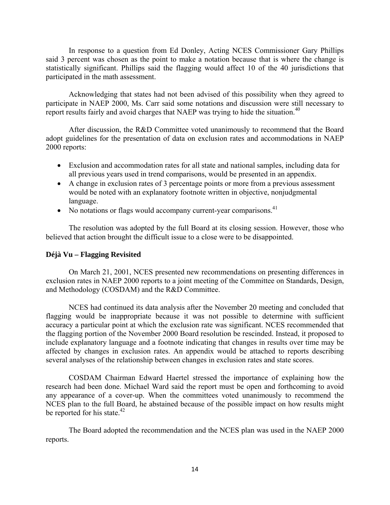In response to a question from Ed Donley, Acting NCES Commissioner Gary Phillips said 3 percent was chosen as the point to make a notation because that is where the change is statistically significant. Phillips said the flagging would affect 10 of the 40 jurisdictions that participated in the math assessment.

Acknowledging that states had not been advised of this possibility when they agreed to participate in NAEP 2000, Ms. Carr said some notations and discussion were still necessary to report results fairly and avoid charges that NAEP was trying to hide the situation.<sup>40</sup>

After discussion, the R&D Committee voted unanimously to recommend that the Board adopt guidelines for the presentation of data on exclusion rates and accommodations in NAEP 2000 reports:

- Exclusion and accommodation rates for all state and national samples, including data for all previous years used in trend comparisons, would be presented in an appendix.
- A change in exclusion rates of 3 percentage points or more from a previous assessment would be noted with an explanatory footnote written in objective, nonjudgmental language.
- No notations or flags would accompany current-year comparisons.<sup>41</sup>

The resolution was adopted by the full Board at its closing session. However, those who believed that action brought the difficult issue to a close were to be disappointed.

#### **Déjà Vu – Flagging Revisited**

On March 21, 2001, NCES presented new recommendations on presenting differences in exclusion rates in NAEP 2000 reports to a joint meeting of the Committee on Standards, Design, and Methodology (COSDAM) and the R&D Committee.

NCES had continued its data analysis after the November 20 meeting and concluded that flagging would be inappropriate because it was not possible to determine with sufficient accuracy a particular point at which the exclusion rate was significant. NCES recommended that the flagging portion of the November 2000 Board resolution be rescinded. Instead, it proposed to include explanatory language and a footnote indicating that changes in results over time may be affected by changes in exclusion rates. An appendix would be attached to reports describing several analyses of the relationship between changes in exclusion rates and state scores.

COSDAM Chairman Edward Haertel stressed the importance of explaining how the research had been done. Michael Ward said the report must be open and forthcoming to avoid any appearance of a cover-up. When the committees voted unanimously to recommend the NCES plan to the full Board, he abstained because of the possible impact on how results might be reported for his state.<sup>42</sup>

The Board adopted the recommendation and the NCES plan was used in the NAEP 2000 reports.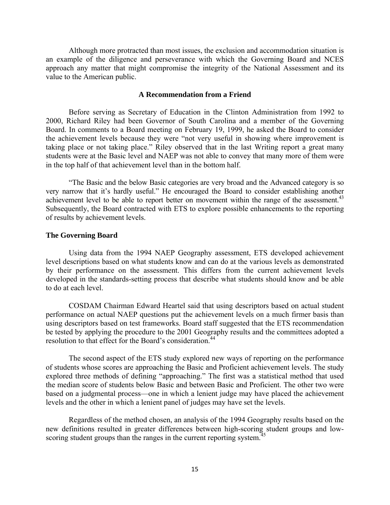Although more protracted than most issues, the exclusion and accommodation situation is an example of the diligence and perseverance with which the Governing Board and NCES approach any matter that might compromise the integrity of the National Assessment and its value to the American public.

#### **A Recommendation from a Friend**

Before serving as Secretary of Education in the Clinton Administration from 1992 to 2000, Richard Riley had been Governor of South Carolina and a member of the Governing Board. In comments to a Board meeting on February 19, 1999, he asked the Board to consider the achievement levels because they were "not very useful in showing where improvement is taking place or not taking place." Riley observed that in the last Writing report a great many students were at the Basic level and NAEP was not able to convey that many more of them were in the top half of that achievement level than in the bottom half.

"The Basic and the below Basic categories are very broad and the Advanced category is so very narrow that it's hardly useful." He encouraged the Board to consider establishing another achievement level to be able to report better on movement within the range of the assessment.<sup>43</sup> Subsequently, the Board contracted with ETS to explore possible enhancements to the reporting of results by achievement levels.

#### **The Governing Board**

Using data from the 1994 NAEP Geography assessment, ETS developed achievement level descriptions based on what students know and can do at the various levels as demonstrated by their performance on the assessment. This differs from the current achievement levels developed in the standards-setting process that describe what students should know and be able to do at each level.

COSDAM Chairman Edward Heartel said that using descriptors based on actual student performance on actual NAEP questions put the achievement levels on a much firmer basis than using descriptors based on test frameworks. Board staff suggested that the ETS recommendation be tested by applying the procedure to the 2001 Geography results and the committees adopted a resolution to that effect for the Board's consideration.<sup>44</sup>

The second aspect of the ETS study explored new ways of reporting on the performance of students whose scores are approaching the Basic and Proficient achievement levels. The study explored three methods of defining "approaching." The first was a statistical method that used the median score of students below Basic and between Basic and Proficient. The other two were based on a judgmental process—one in which a lenient judge may have placed the achievement levels and the other in which a lenient panel of judges may have set the levels.

Regardless of the method chosen, an analysis of the 1994 Geography results based on the new definitions resulted in greater differences between high-scoring student groups and lowscoring student groups than the ranges in the current reporting system.<sup>45</sup>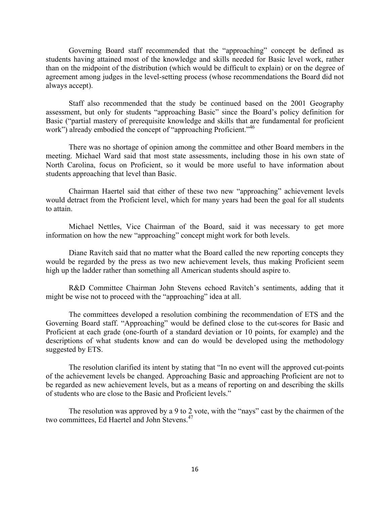Governing Board staff recommended that the "approaching" concept be defined as students having attained most of the knowledge and skills needed for Basic level work, rather than on the midpoint of the distribution (which would be difficult to explain) or on the degree of agreement among judges in the level-setting process (whose recommendations the Board did not always accept).

Staff also recommended that the study be continued based on the 2001 Geography assessment, but only for students "approaching Basic" since the Board's policy definition for Basic ("partial mastery of prerequisite knowledge and skills that are fundamental for proficient work") already embodied the concept of "approaching Proficient."<sup>46</sup>

There was no shortage of opinion among the committee and other Board members in the meeting. Michael Ward said that most state assessments, including those in his own state of North Carolina, focus on Proficient, so it would be more useful to have information about students approaching that level than Basic.

Chairman Haertel said that either of these two new "approaching" achievement levels would detract from the Proficient level, which for many years had been the goal for all students to attain.

Michael Nettles, Vice Chairman of the Board, said it was necessary to get more information on how the new "approaching" concept might work for both levels.

Diane Ravitch said that no matter what the Board called the new reporting concepts they would be regarded by the press as two new achievement levels, thus making Proficient seem high up the ladder rather than something all American students should aspire to.

R&D Committee Chairman John Stevens echoed Ravitch's sentiments, adding that it might be wise not to proceed with the "approaching" idea at all.

The committees developed a resolution combining the recommendation of ETS and the Governing Board staff. "Approaching" would be defined close to the cut-scores for Basic and Proficient at each grade (one-fourth of a standard deviation or 10 points, for example) and the descriptions of what students know and can do would be developed using the methodology suggested by ETS.

The resolution clarified its intent by stating that "In no event will the approved cut-points of the achievement levels be changed. Approaching Basic and approaching Proficient are not to be regarded as new achievement levels, but as a means of reporting on and describing the skills of students who are close to the Basic and Proficient levels."

The resolution was approved by a 9 to 2 vote, with the "nays" cast by the chairmen of the two committees, Ed Haertel and John Stevens.47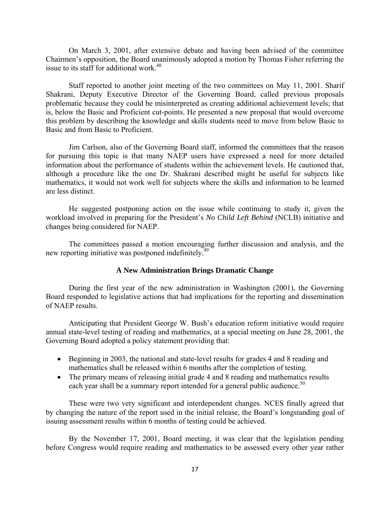On March 3, 2001, after extensive debate and having been advised of the committee Chairmen's opposition, the Board unanimously adopted a motion by Thomas Fisher referring the issue to its staff for additional work.<sup>48</sup>

Staff reported to another joint meeting of the two committees on May 11, 2001. Sharif Shakrani, Deputy Executive Director of the Governing Board, called previous proposals problematic because they could be misinterpreted as creating additional achievement levels; that is, below the Basic and Proficient cut-points. He presented a new proposal that would overcome this problem by describing the knowledge and skills students need to move from below Basic to Basic and from Basic to Proficient.

Jim Carlson, also of the Governing Board staff, informed the committees that the reason for pursuing this topic is that many NAEP users have expressed a need for more detailed information about the performance of students within the achievement levels. He cautioned that, although a procedure like the one Dr. Shakrani described might be useful for subjects like mathematics, it would not work well for subjects where the skills and information to be learned are less distinct.

He suggested postponing action on the issue while continuing to study it, given the workload involved in preparing for the President's *No Child Left Behind* (NCLB) initiative and changes being considered for NAEP.

The committees passed a motion encouraging further discussion and analysis, and the new reporting initiative was postponed indefinitely.<sup>49</sup>

### **A New Administration Brings Dramatic Change**

During the first year of the new administration in Washington (2001), the Governing Board responded to legislative actions that had implications for the reporting and dissemination of NAEP results.

Anticipating that President George W. Bush's education reform initiative would require annual state-level testing of reading and mathematics, at a special meeting on June 28, 2001, the Governing Board adopted a policy statement providing that:

- Beginning in 2003, the national and state-level results for grades 4 and 8 reading and mathematics shall be released within 6 months after the completion of testing.
- The primary means of releasing initial grade 4 and 8 reading and mathematics results each year shall be a summary report intended for a general public audience.<sup>50</sup>

These were two very significant and interdependent changes. NCES finally agreed that by changing the nature of the report used in the initial release, the Board's longstanding goal of issuing assessment results within 6 months of testing could be achieved.

By the November 17, 2001, Board meeting, it was clear that the legislation pending before Congress would require reading and mathematics to be assessed every other year rather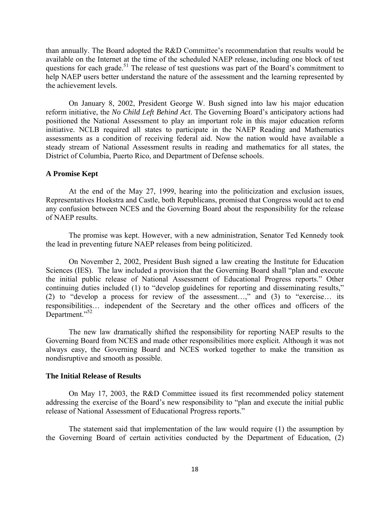than annually. The Board adopted the R&D Committee's recommendation that results would be available on the Internet at the time of the scheduled NAEP release, including one block of test questions for each grade.<sup>51</sup> The release of test questions was part of the Board's commitment to help NAEP users better understand the nature of the assessment and the learning represented by the achievement levels.

On January 8, 2002, President George W. Bush signed into law his major education reform initiative, the *No Child Left Behind Act*. The Governing Board's anticipatory actions had positioned the National Assessment to play an important role in this major education reform initiative. NCLB required all states to participate in the NAEP Reading and Mathematics assessments as a condition of receiving federal aid. Now the nation would have available a steady stream of National Assessment results in reading and mathematics for all states, the District of Columbia, Puerto Rico, and Department of Defense schools.

#### **A Promise Kept**

At the end of the May 27, 1999, hearing into the politicization and exclusion issues, Representatives Hoekstra and Castle, both Republicans, promised that Congress would act to end any confusion between NCES and the Governing Board about the responsibility for the release of NAEP results.

The promise was kept. However, with a new administration, Senator Ted Kennedy took the lead in preventing future NAEP releases from being politicized.

On November 2, 2002, President Bush signed a law creating the Institute for Education Sciences (IES). The law included a provision that the Governing Board shall "plan and execute the initial public release of National Assessment of Educational Progress reports." Other continuing duties included (1) to "develop guidelines for reporting and disseminating results," (2) to "develop a process for review of the assessment…," and (3) to "exercise… its responsibilities… independent of the Secretary and the other offices and officers of the Department."<sup>52</sup>

The new law dramatically shifted the responsibility for reporting NAEP results to the Governing Board from NCES and made other responsibilities more explicit. Although it was not always easy, the Governing Board and NCES worked together to make the transition as nondisruptive and smooth as possible.

#### **The Initial Release of Results**

On May 17, 2003, the R&D Committee issued its first recommended policy statement addressing the exercise of the Board's new responsibility to "plan and execute the initial public release of National Assessment of Educational Progress reports."

The statement said that implementation of the law would require (1) the assumption by the Governing Board of certain activities conducted by the Department of Education, (2)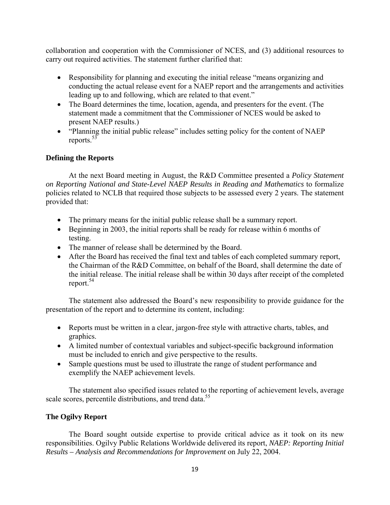collaboration and cooperation with the Commissioner of NCES, and (3) additional resources to carry out required activities. The statement further clarified that:

- Responsibility for planning and executing the initial release "means organizing and conducting the actual release event for a NAEP report and the arrangements and activities leading up to and following, which are related to that event."
- The Board determines the time, location, agenda, and presenters for the event. (The statement made a commitment that the Commissioner of NCES would be asked to present NAEP results.)
- "Planning the initial public release" includes setting policy for the content of NAEP reports. $53$

## **Defining the Reports**

At the next Board meeting in August, the R&D Committee presented a *Policy Statement on Reporting National and State-Level NAEP Results in Reading and Mathematics* to formalize policies related to NCLB that required those subjects to be assessed every 2 years. The statement provided that:

- The primary means for the initial public release shall be a summary report.
- Beginning in 2003, the initial reports shall be ready for release within 6 months of testing.
- The manner of release shall be determined by the Board.
- After the Board has received the final text and tables of each completed summary report, the Chairman of the R&D Committee, on behalf of the Board, shall determine the date of the initial release. The initial release shall be within 30 days after receipt of the completed report.<sup>54</sup>

The statement also addressed the Board's new responsibility to provide guidance for the presentation of the report and to determine its content, including:

- Reports must be written in a clear, jargon-free style with attractive charts, tables, and graphics.
- A limited number of contextual variables and subject-specific background information must be included to enrich and give perspective to the results.
- Sample questions must be used to illustrate the range of student performance and exemplify the NAEP achievement levels.

The statement also specified issues related to the reporting of achievement levels, average scale scores, percentile distributions, and trend data.<sup>55</sup>

## **The Ogilvy Report**

The Board sought outside expertise to provide critical advice as it took on its new responsibilities. Ogilvy Public Relations Worldwide delivered its report, *NAEP: Reporting Initial Results – Analysis and Recommendations for Improvement* on July 22, 2004.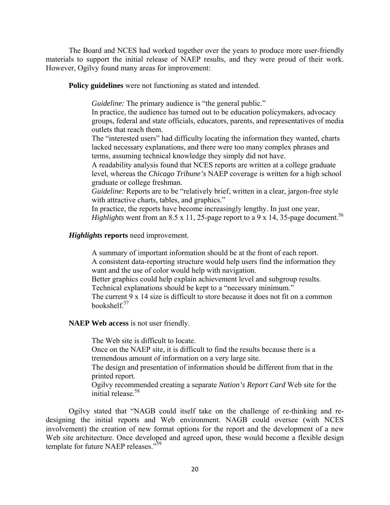The Board and NCES had worked together over the years to produce more user-friendly materials to support the initial release of NAEP results, and they were proud of their work. However, Ogilvy found many areas for improvement:

**Policy guidelines** were not functioning as stated and intended.

*Guideline:* The primary audience is "the general public."

In practice, the audience has turned out to be education policymakers, advocacy groups, federal and state officials, educators, parents, and representatives of media outlets that reach them.

The "interested users" had difficulty locating the information they wanted, charts lacked necessary explanations, and there were too many complex phrases and terms, assuming technical knowledge they simply did not have.

A readability analysis found that NCES reports are written at a college graduate level, whereas the *Chicago Tribune's* NAEP coverage is written for a high school graduate or college freshman.

*Guideline:* Reports are to be "relatively brief, written in a clear, jargon-free style with attractive charts, tables, and graphics."

In practice, the reports have become increasingly lengthy. In just one year, *Highlights* went from an 8.5 x 11, 25-page report to a 9 x 14, 35-page document.<sup>56</sup>

## *Highlights* **reports** need improvement.

A summary of important information should be at the front of each report. A consistent data-reporting structure would help users find the information they want and the use of color would help with navigation. Better graphics could help explain achievement level and subgroup results.

Technical explanations should be kept to a "necessary minimum."

The current 9 x 14 size is difficult to store because it does not fit on a common bookshelf.57

## **NAEP Web access** is not user friendly.

The Web site is difficult to locate.

Once on the NAEP site, it is difficult to find the results because there is a tremendous amount of information on a very large site.

The design and presentation of information should be different from that in the printed report.

Ogilvy recommended creating a separate *Nation's Report Card* Web site for the initial release.<sup>58</sup>

Ogilvy stated that "NAGB could itself take on the challenge of re-thinking and redesigning the initial reports and Web environment. NAGB could oversee (with NCES involvement) the creation of new format options for the report and the development of a new Web site architecture. Once developed and agreed upon, these would become a flexible design template for future NAEP releases."<sup>59</sup>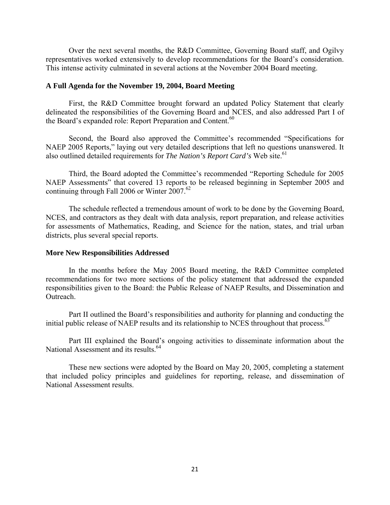Over the next several months, the R&D Committee, Governing Board staff, and Ogilvy representatives worked extensively to develop recommendations for the Board's consideration. This intense activity culminated in several actions at the November 2004 Board meeting.

## **A Full Agenda for the November 19, 2004, Board Meeting**

First, the R&D Committee brought forward an updated Policy Statement that clearly delineated the responsibilities of the Governing Board and NCES, and also addressed Part I of the Board's expanded role: Report Preparation and Content.<sup>60</sup>

Second, the Board also approved the Committee's recommended "Specifications for NAEP 2005 Reports," laying out very detailed descriptions that left no questions unanswered. It also outlined detailed requirements for *The Nation's Report Card's* Web site.<sup>61</sup>

Third, the Board adopted the Committee's recommended "Reporting Schedule for 2005 NAEP Assessments" that covered 13 reports to be released beginning in September 2005 and continuing through Fall 2006 or Winter  $2007.^{62}$ 

The schedule reflected a tremendous amount of work to be done by the Governing Board, NCES, and contractors as they dealt with data analysis, report preparation, and release activities for assessments of Mathematics, Reading, and Science for the nation, states, and trial urban districts, plus several special reports.

#### **More New Responsibilities Addressed**

In the months before the May 2005 Board meeting, the R&D Committee completed recommendations for two more sections of the policy statement that addressed the expanded responsibilities given to the Board: the Public Release of NAEP Results, and Dissemination and **Outreach** 

Part II outlined the Board's responsibilities and authority for planning and conducting the initial public release of NAEP results and its relationship to NCES throughout that process.<sup>63</sup>

Part III explained the Board's ongoing activities to disseminate information about the National Assessment and its results.<sup>64</sup>

These new sections were adopted by the Board on May 20, 2005, completing a statement that included policy principles and guidelines for reporting, release, and dissemination of National Assessment results.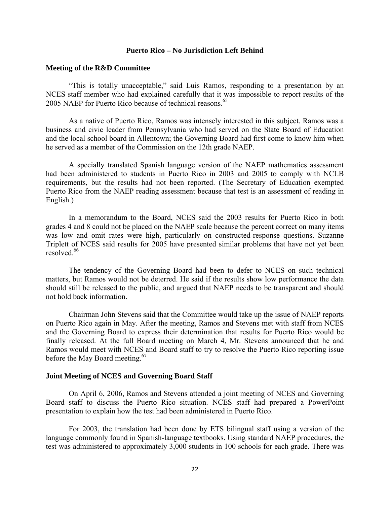#### **Puerto Rico – No Jurisdiction Left Behind**

#### **Meeting of the R&D Committee**

"This is totally unacceptable," said Luis Ramos, responding to a presentation by an NCES staff member who had explained carefully that it was impossible to report results of the 2005 NAEP for Puerto Rico because of technical reasons.<sup>65</sup>

As a native of Puerto Rico, Ramos was intensely interested in this subject. Ramos was a business and civic leader from Pennsylvania who had served on the State Board of Education and the local school board in Allentown; the Governing Board had first come to know him when he served as a member of the Commission on the 12th grade NAEP.

A specially translated Spanish language version of the NAEP mathematics assessment had been administered to students in Puerto Rico in 2003 and 2005 to comply with NCLB requirements, but the results had not been reported. (The Secretary of Education exempted Puerto Rico from the NAEP reading assessment because that test is an assessment of reading in English.)

In a memorandum to the Board, NCES said the 2003 results for Puerto Rico in both grades 4 and 8 could not be placed on the NAEP scale because the percent correct on many items was low and omit rates were high, particularly on constructed-response questions. Suzanne Triplett of NCES said results for 2005 have presented similar problems that have not yet been resolved.<sup>66</sup>

The tendency of the Governing Board had been to defer to NCES on such technical matters, but Ramos would not be deterred. He said if the results show low performance the data should still be released to the public, and argued that NAEP needs to be transparent and should not hold back information.

Chairman John Stevens said that the Committee would take up the issue of NAEP reports on Puerto Rico again in May. After the meeting, Ramos and Stevens met with staff from NCES and the Governing Board to express their determination that results for Puerto Rico would be finally released. At the full Board meeting on March 4, Mr. Stevens announced that he and Ramos would meet with NCES and Board staff to try to resolve the Puerto Rico reporting issue before the May Board meeting.<sup>67</sup>

#### **Joint Meeting of NCES and Governing Board Staff**

On April 6, 2006, Ramos and Stevens attended a joint meeting of NCES and Governing Board staff to discuss the Puerto Rico situation. NCES staff had prepared a PowerPoint presentation to explain how the test had been administered in Puerto Rico.

For 2003, the translation had been done by ETS bilingual staff using a version of the language commonly found in Spanish-language textbooks. Using standard NAEP procedures, the test was administered to approximately 3,000 students in 100 schools for each grade. There was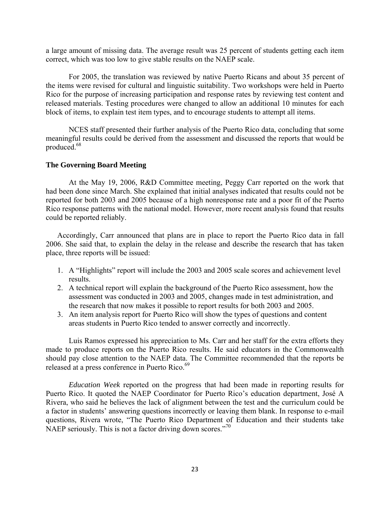a large amount of missing data. The average result was 25 percent of students getting each item correct, which was too low to give stable results on the NAEP scale.

For 2005, the translation was reviewed by native Puerto Ricans and about 35 percent of the items were revised for cultural and linguistic suitability. Two workshops were held in Puerto Rico for the purpose of increasing participation and response rates by reviewing test content and released materials. Testing procedures were changed to allow an additional 10 minutes for each block of items, to explain test item types, and to encourage students to attempt all items.

NCES staff presented their further analysis of the Puerto Rico data, concluding that some meaningful results could be derived from the assessment and discussed the reports that would be produced.68

### **The Governing Board Meeting**

At the May 19, 2006, R&D Committee meeting, Peggy Carr reported on the work that had been done since March. She explained that initial analyses indicated that results could not be reported for both 2003 and 2005 because of a high nonresponse rate and a poor fit of the Puerto Rico response patterns with the national model. However, more recent analysis found that results could be reported reliably.

Accordingly, Carr announced that plans are in place to report the Puerto Rico data in fall 2006. She said that, to explain the delay in the release and describe the research that has taken place, three reports will be issued:

- 1. A "Highlights" report will include the 2003 and 2005 scale scores and achievement level results.
- 2. A technical report will explain the background of the Puerto Rico assessment, how the assessment was conducted in 2003 and 2005, changes made in test administration, and the research that now makes it possible to report results for both 2003 and 2005.
- 3. An item analysis report for Puerto Rico will show the types of questions and content areas students in Puerto Rico tended to answer correctly and incorrectly.

Luis Ramos expressed his appreciation to Ms. Carr and her staff for the extra efforts they made to produce reports on the Puerto Rico results. He said educators in the Commonwealth should pay close attention to the NAEP data. The Committee recommended that the reports be released at a press conference in Puerto Rico.<sup>69</sup>

*Education Week* reported on the progress that had been made in reporting results for Puerto Rico. It quoted the NAEP Coordinator for Puerto Rico's education department, José A Rivera, who said he believes the lack of alignment between the test and the curriculum could be a factor in students' answering questions incorrectly or leaving them blank. In response to e-mail questions, Rivera wrote, "The Puerto Rico Department of Education and their students take NAEP seriously. This is not a factor driving down scores."<sup>70</sup>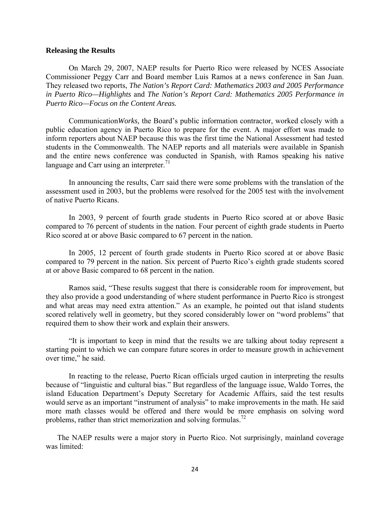#### **Releasing the Results**

On March 29, 2007, NAEP results for Puerto Rico were released by NCES Associate Commissioner Peggy Carr and Board member Luis Ramos at a news conference in San Juan. They released two reports, *The Nation's Report Card: Mathematics 2003 and 2005 Performance in Puerto Rico—Highlights* and *The Nation's Report Card: Mathematics 2005 Performance in Puerto Rico—Focus on the Content Areas.*

Communication*Works,* the Board's public information contractor, worked closely with a public education agency in Puerto Rico to prepare for the event. A major effort was made to inform reporters about NAEP because this was the first time the National Assessment had tested students in the Commonwealth. The NAEP reports and all materials were available in Spanish and the entire news conference was conducted in Spanish, with Ramos speaking his native language and Carr using an interpreter. $1$ 

In announcing the results, Carr said there were some problems with the translation of the assessment used in 2003, but the problems were resolved for the 2005 test with the involvement of native Puerto Ricans.

In 2003, 9 percent of fourth grade students in Puerto Rico scored at or above Basic compared to 76 percent of students in the nation. Four percent of eighth grade students in Puerto Rico scored at or above Basic compared to 67 percent in the nation.

In 2005, 12 percent of fourth grade students in Puerto Rico scored at or above Basic compared to 79 percent in the nation. Six percent of Puerto Rico's eighth grade students scored at or above Basic compared to 68 percent in the nation.

Ramos said, "These results suggest that there is considerable room for improvement, but they also provide a good understanding of where student performance in Puerto Rico is strongest and what areas may need extra attention." As an example, he pointed out that island students scored relatively well in geometry, but they scored considerably lower on "word problems" that required them to show their work and explain their answers.

"It is important to keep in mind that the results we are talking about today represent a starting point to which we can compare future scores in order to measure growth in achievement over time," he said.

In reacting to the release, Puerto Rican officials urged caution in interpreting the results because of "linguistic and cultural bias." But regardless of the language issue, Waldo Torres, the island Education Department's Deputy Secretary for Academic Affairs, said the test results would serve as an important "instrument of analysis" to make improvements in the math. He said more math classes would be offered and there would be more emphasis on solving word problems, rather than strict memorization and solving formulas.<sup>72</sup>

The NAEP results were a major story in Puerto Rico. Not surprisingly, mainland coverage was limited: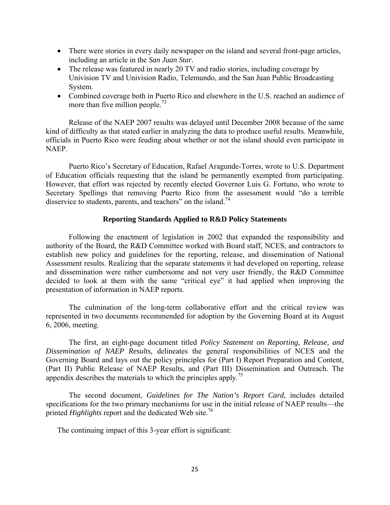- There were stories in every daily newspaper on the island and several front-page articles, including an article in the *San Juan Star.*
- The release was featured in nearly 20 TV and radio stories, including coverage by Univision TV and Univision Radio, Telemundo, and the San Juan Public Broadcasting System.
- Combined coverage both in Puerto Rico and elsewhere in the U.S. reached an audience of more than five million people.<sup>73</sup>

Release of the NAEP 2007 results was delayed until December 2008 because of the same kind of difficulty as that stated earlier in analyzing the data to produce useful results. Meanwhile, officials in Puerto Rico were feuding about whether or not the island should even participate in NAEP.

Puerto Rico's Secretary of Education, Rafael Aragunde-Torres, wrote to U.S. Department of Education officials requesting that the island be permanently exempted from participating. However, that effort was rejected by recently elected Governor Luis G. Fortuno, who wrote to Secretary Spellings that removing Puerto Rico from the assessment would "do a terrible disservice to students, parents, and teachers" on the island.<sup>74</sup>

## **Reporting Standards Applied to R&D Policy Statements**

Following the enactment of legislation in 2002 that expanded the responsibility and authority of the Board, the R&D Committee worked with Board staff, NCES, and contractors to establish new policy and guidelines for the reporting, release, and dissemination of National Assessment results. Realizing that the separate statements it had developed on reporting, release and dissemination were rather cumbersome and not very user friendly, the R&D Committee decided to look at them with the same "critical eye" it had applied when improving the presentation of information in NAEP reports.

The culmination of the long-term collaborative effort and the critical review was represented in two documents recommended for adoption by the Governing Board at its August 6, 2006, meeting.

The first, an eight-page document titled *Policy Statement on Reporting, Release, and Dissemination of NAEP Results,* delineates the general responsibilities of NCES and the Governing Board and lays out the policy principles for (Part I) Report Preparation and Content, (Part II) Public Release of NAEP Results, and (Part III) Dissemination and Outreach. The appendix describes the materials to which the principles apply.<sup>75</sup>

The second document, *Guidelines for The Nation's Report Card,* includes detailed specifications for the two primary mechanisms for use in the initial release of NAEP results—the printed *Highlights* report and the dedicated Web site.76

The continuing impact of this 3-year effort is significant: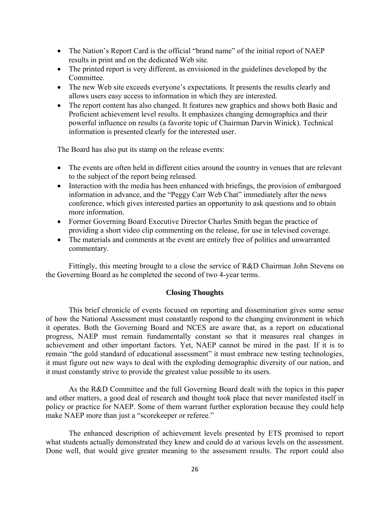- The Nation's Report Card is the official "brand name" of the initial report of NAEP results in print and on the dedicated Web site.
- The printed report is very different, as envisioned in the guidelines developed by the Committee.
- The new Web site exceeds everyone's expectations. It presents the results clearly and allows users easy access to information in which they are interested.
- The report content has also changed. It features new graphics and shows both Basic and Proficient achievement level results. It emphasizes changing demographics and their powerful influence on results (a favorite topic of Chairman Darvin Winick). Technical information is presented clearly for the interested user.

The Board has also put its stamp on the release events:

- The events are often held in different cities around the country in venues that are relevant to the subject of the report being released.
- Interaction with the media has been enhanced with briefings, the provision of embargoed information in advance, and the "Peggy Carr Web Chat" immediately after the news conference, which gives interested parties an opportunity to ask questions and to obtain more information.
- Former Governing Board Executive Director Charles Smith began the practice of providing a short video clip commenting on the release, for use in televised coverage.
- The materials and comments at the event are entirely free of politics and unwarranted commentary.

Fittingly, this meeting brought to a close the service of R&D Chairman John Stevens on the Governing Board as he completed the second of two 4-year terms.

## **Closing Thoughts**

This brief chronicle of events focused on reporting and dissemination gives some sense of how the National Assessment must constantly respond to the changing environment in which it operates. Both the Governing Board and NCES are aware that, as a report on educational progress, NAEP must remain fundamentally constant so that it measures real changes in achievement and other important factors. Yet, NAEP cannot be mired in the past. If it is to remain "the gold standard of educational assessment" it must embrace new testing technologies, it must figure out new ways to deal with the exploding demographic diversity of our nation, and it must constantly strive to provide the greatest value possible to its users.

As the R&D Committee and the full Governing Board dealt with the topics in this paper and other matters, a good deal of research and thought took place that never manifested itself in policy or practice for NAEP. Some of them warrant further exploration because they could help make NAEP more than just a "scorekeeper or referee."

The enhanced description of achievement levels presented by ETS promised to report what students actually demonstrated they knew and could do at various levels on the assessment. Done well, that would give greater meaning to the assessment results. The report could also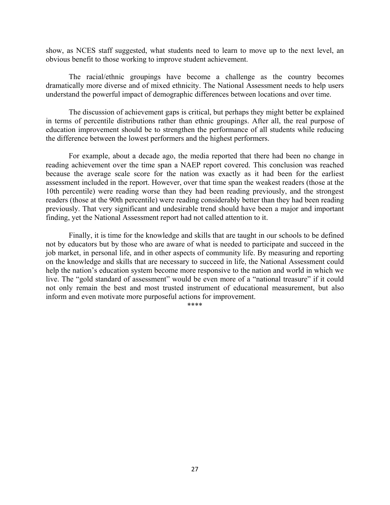show, as NCES staff suggested, what students need to learn to move up to the next level, an obvious benefit to those working to improve student achievement.

The racial/ethnic groupings have become a challenge as the country becomes dramatically more diverse and of mixed ethnicity. The National Assessment needs to help users understand the powerful impact of demographic differences between locations and over time.

The discussion of achievement gaps is critical, but perhaps they might better be explained in terms of percentile distributions rather than ethnic groupings. After all, the real purpose of education improvement should be to strengthen the performance of all students while reducing the difference between the lowest performers and the highest performers.

For example, about a decade ago, the media reported that there had been no change in reading achievement over the time span a NAEP report covered. This conclusion was reached because the average scale score for the nation was exactly as it had been for the earliest assessment included in the report. However, over that time span the weakest readers (those at the 10th percentile) were reading worse than they had been reading previously, and the strongest readers (those at the 90th percentile) were reading considerably better than they had been reading previously. That very significant and undesirable trend should have been a major and important finding, yet the National Assessment report had not called attention to it.

Finally, it is time for the knowledge and skills that are taught in our schools to be defined not by educators but by those who are aware of what is needed to participate and succeed in the job market, in personal life, and in other aspects of community life. By measuring and reporting on the knowledge and skills that are necessary to succeed in life, the National Assessment could help the nation's education system become more responsive to the nation and world in which we live. The "gold standard of assessment" would be even more of a "national treasure" if it could not only remain the best and most trusted instrument of educational measurement, but also inform and even motivate more purposeful actions for improvement.

\*\*\*\*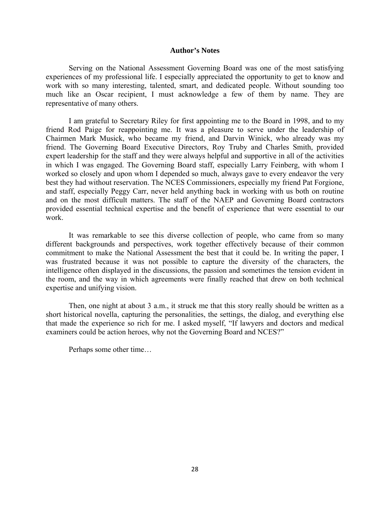#### **Author's Notes**

Serving on the National Assessment Governing Board was one of the most satisfying experiences of my professional life. I especially appreciated the opportunity to get to know and work with so many interesting, talented, smart, and dedicated people. Without sounding too much like an Oscar recipient, I must acknowledge a few of them by name. They are representative of many others.

I am grateful to Secretary Riley for first appointing me to the Board in 1998, and to my friend Rod Paige for reappointing me. It was a pleasure to serve under the leadership of Chairmen Mark Musick, who became my friend, and Darvin Winick, who already was my friend. The Governing Board Executive Directors, Roy Truby and Charles Smith, provided expert leadership for the staff and they were always helpful and supportive in all of the activities in which I was engaged. The Governing Board staff, especially Larry Feinberg, with whom I worked so closely and upon whom I depended so much, always gave to every endeavor the very best they had without reservation. The NCES Commissioners, especially my friend Pat Forgione, and staff, especially Peggy Carr, never held anything back in working with us both on routine and on the most difficult matters. The staff of the NAEP and Governing Board contractors provided essential technical expertise and the benefit of experience that were essential to our work.

It was remarkable to see this diverse collection of people, who came from so many different backgrounds and perspectives, work together effectively because of their common commitment to make the National Assessment the best that it could be. In writing the paper, I was frustrated because it was not possible to capture the diversity of the characters, the intelligence often displayed in the discussions, the passion and sometimes the tension evident in the room, and the way in which agreements were finally reached that drew on both technical expertise and unifying vision.

Then, one night at about 3 a.m., it struck me that this story really should be written as a short historical novella, capturing the personalities, the settings, the dialog, and everything else that made the experience so rich for me. I asked myself, "If lawyers and doctors and medical examiners could be action heroes, why not the Governing Board and NCES?"

Perhaps some other time…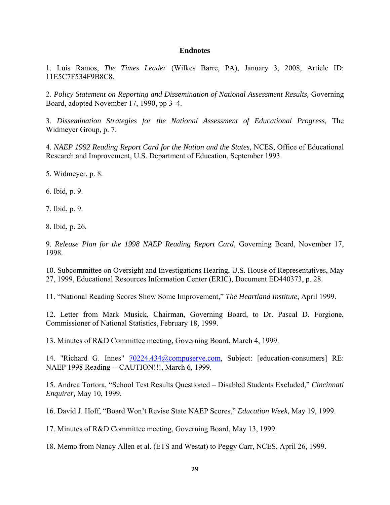#### **Endnotes**

1. Luis Ramos, *The Times Leader* (Wilkes Barre, PA), January 3, 2008, Article ID: 11E5C7F534F9B8C8.

2. *Policy Statement on Reporting and Dissemination of National Assessment Results,* Governing Board, adopted November 17, 1990, pp 3–4.

3. *Dissemination Strategies for the National Assessment of Educational Progress,* The Widmeyer Group, p. 7.

4. *NAEP 1992 Reading Report Card for the Nation and the States,* NCES, Office of Educational Research and Improvement, U.S. Department of Education, September 1993.

5. Widmeyer, p. 8.

6. Ibid, p. 9.

7. Ibid, p. 9.

8. Ibid, p. 26.

9. *Release Plan for the 1998 NAEP Reading Report Card,* Governing Board, November 17, 1998.

10. Subcommittee on Oversight and Investigations Hearing, U.S. House of Representatives, May 27, 1999, Educational Resources Information Center (ERIC), Document ED440373, p. 28.

11. "National Reading Scores Show Some Improvement," *The Heartland Institute,* April 1999.

12. Letter from Mark Musick, Chairman, Governing Board, to Dr. Pascal D. Forgione, Commissioner of National Statistics, February 18, 1999.

13. Minutes of R&D Committee meeting, Governing Board, March 4, 1999.

14. "Richard G. Innes" [70224.434@compuserve.com](mailto:70224.434@compuserve.com), Subject: [education-consumers] RE: NAEP 1998 Reading -- CAUTION!!!, March 6, 1999.

15. Andrea Tortora, "School Test Results Questioned – Disabled Students Excluded," *Cincinnati Enquirer,* May 10, 1999.

16. David J. Hoff, "Board Won't Revise State NAEP Scores," *Education Week,* May 19, 1999.

17. Minutes of R&D Committee meeting, Governing Board, May 13, 1999.

18. Memo from Nancy Allen et al. (ETS and Westat) to Peggy Carr, NCES, April 26, 1999.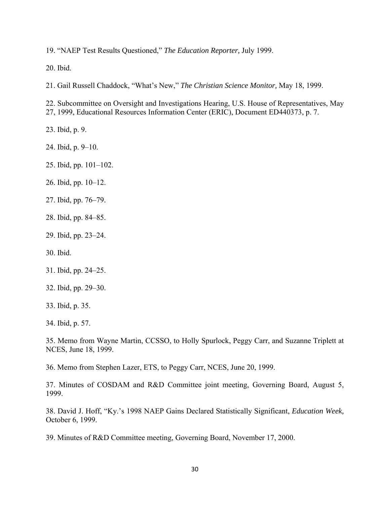19. "NAEP Test Results Questioned," *The Education Reporter,* July 1999.

20. Ibid.

21. Gail Russell Chaddock, "What's New," *The Christian Science Monitor,* May 18, 1999.

22. Subcommittee on Oversight and Investigations Hearing, U.S. House of Representatives, May 27, 1999, Educational Resources Information Center (ERIC), Document ED440373, p. 7.

23. Ibid, p. 9.

24. Ibid, p. 9–10.

25. Ibid, pp. 101–102.

26. Ibid, pp. 10–12.

27. Ibid, pp. 76–79.

28. Ibid, pp. 84–85.

29. Ibid, pp. 23–24.

30. Ibid.

31. Ibid, pp. 24–25.

32. Ibid, pp. 29–30.

33. Ibid, p. 35.

34. Ibid, p. 57.

35. Memo from Wayne Martin, CCSSO, to Holly Spurlock, Peggy Carr, and Suzanne Triplett at NCES, June 18, 1999.

36. Memo from Stephen Lazer, ETS, to Peggy Carr, NCES, June 20, 1999.

37. Minutes of COSDAM and R&D Committee joint meeting, Governing Board, August 5, 1999.

38. David J. Hoff, "Ky.'s 1998 NAEP Gains Declared Statistically Significant, *Education Week,* October 6, 1999.

39. Minutes of R&D Committee meeting, Governing Board, November 17, 2000.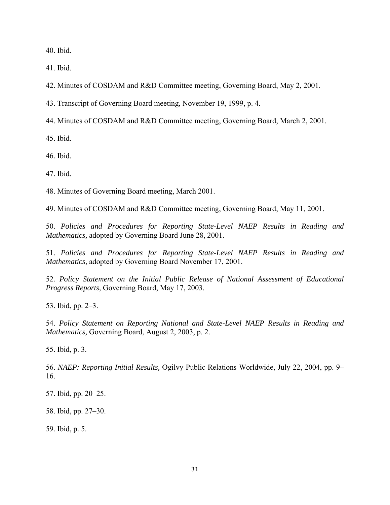40. Ibid.

41. Ibid.

42. Minutes of COSDAM and R&D Committee meeting, Governing Board, May 2, 2001.

43. Transcript of Governing Board meeting, November 19, 1999, p. 4.

44. Minutes of COSDAM and R&D Committee meeting, Governing Board, March 2, 2001.

45. Ibid.

46. Ibid.

47. Ibid.

48. Minutes of Governing Board meeting, March 2001.

49. Minutes of COSDAM and R&D Committee meeting, Governing Board, May 11, 2001.

50. *Policies and Procedures for Reporting State-Level NAEP Results in Reading and Mathematics,* adopted by Governing Board June 28, 2001.

51. *Policies and Procedures for Reporting State-Level NAEP Results in Reading and Mathematics,* adopted by Governing Board November 17, 2001.

52*. Policy Statement on the Initial Public Release of National Assessment of Educational Progress Reports,* Governing Board, May 17, 2003.

53. Ibid, pp. 2–3.

54. *Policy Statement on Reporting National and State-Level NAEP Results in Reading and Mathematics,* Governing Board, August 2, 2003, p. 2.

55. Ibid, p. 3.

56. *NAEP: Reporting Initial Results,* Ogilvy Public Relations Worldwide, July 22, 2004, pp. 9– 16.

57. Ibid, pp. 20–25.

58. Ibid, pp. 27–30.

59. Ibid, p. 5.